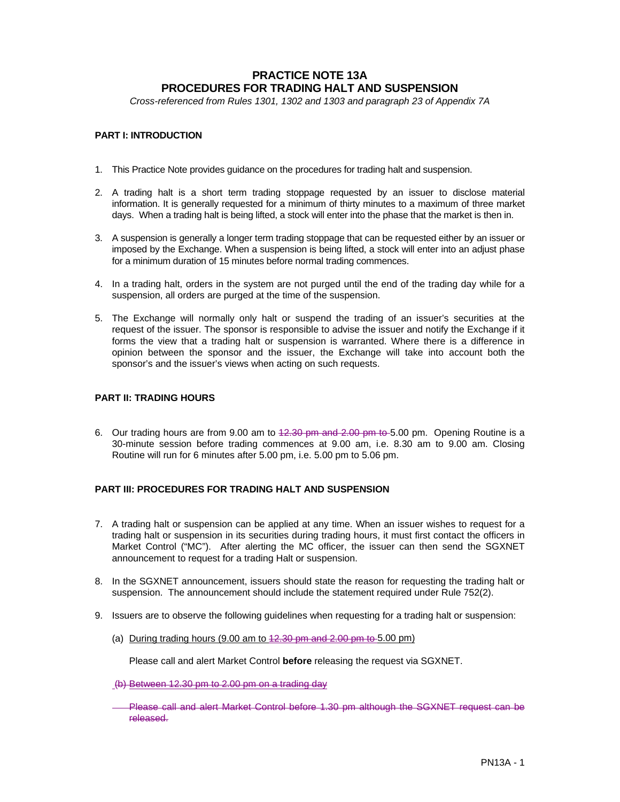# **PRACTICE NOTE 13A PROCEDURES FOR TRADING HALT AND SUSPENSION**

*Cross-referenced from Rules 1301, 1302 and 1303 and paragraph 23 of Appendix 7A*

## **PART I: INTRODUCTION**

- 1. This Practice Note provides guidance on the procedures for trading halt and suspension.
- 2. A trading halt is a short term trading stoppage requested by an issuer to disclose material information. It is generally requested for a minimum of thirty minutes to a maximum of three market days. When a trading halt is being lifted, a stock will enter into the phase that the market is then in.
- 3. A suspension is generally a longer term trading stoppage that can be requested either by an issuer or imposed by the Exchange. When a suspension is being lifted, a stock will enter into an adjust phase for a minimum duration of 15 minutes before normal trading commences.
- 4. In a trading halt, orders in the system are not purged until the end of the trading day while for a suspension, all orders are purged at the time of the suspension.
- 5. The Exchange will normally only halt or suspend the trading of an issuer's securities at the request of the issuer. The sponsor is responsible to advise the issuer and notify the Exchange if it forms the view that a trading halt or suspension is warranted. Where there is a difference in opinion between the sponsor and the issuer, the Exchange will take into account both the sponsor's and the issuer's views when acting on such requests.

#### **PART II: TRADING HOURS**

6. Our trading hours are from 9.00 am to 12.30 pm and 2.00 pm to 5.00 pm. Opening Routine is a 30-minute session before trading commences at 9.00 am, i.e. 8.30 am to 9.00 am. Closing Routine will run for 6 minutes after 5.00 pm, i.e. 5.00 pm to 5.06 pm.

### **PART III: PROCEDURES FOR TRADING HALT AND SUSPENSION**

- 7. A trading halt or suspension can be applied at any time. When an issuer wishes to request for a trading halt or suspension in its securities during trading hours, it must first contact the officers in Market Control ("MC"). After alerting the MC officer, the issuer can then send the SGXNET announcement to request for a trading Halt or suspension.
- 8. In the SGXNET announcement, issuers should state the reason for requesting the trading halt or suspension. The announcement should include the statement required under Rule 752(2).
- 9. Issuers are to observe the following guidelines when requesting for a trading halt or suspension:
	- (a) During trading hours (9.00 am to  $42.30$  pm and  $2.00$  pm to 5.00 pm)

Please call and alert Market Control **before** releasing the request via SGXNET.

- (b) Between 12.30 pm to 2.00 pm on a trading day
- Please call and alert Market Control before 1.30 pm although the SGXNET request can be released.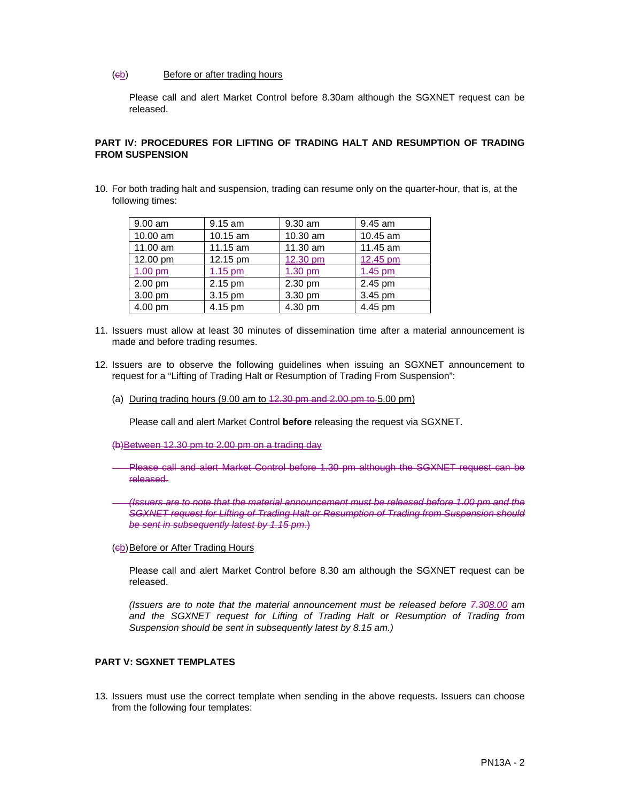#### (cb) Before or after trading hours

Please call and alert Market Control before 8.30am although the SGXNET request can be released.

#### **PART IV: PROCEDURES FOR LIFTING OF TRADING HALT AND RESUMPTION OF TRADING FROM SUSPENSION**

10. For both trading halt and suspension, trading can resume only on the quarter-hour, that is, at the following times:

| 9.00 am  | $9.15$ am | 9.30 am  | 9.45 am   |
|----------|-----------|----------|-----------|
| 10.00 am | 10.15 am  | 10.30 am | 10.45 am  |
| 11.00 am | 11.15 am  | 11.30 am | 11.45 am  |
| 12.00 pm | 12.15 pm  | 12.30 pm | 12.45 pm  |
| 1.00 pm  | $1.15$ pm | 1.30 pm  | $1.45$ pm |
| 2.00 pm  | 2.15 pm   | 2.30 pm  | 2.45 pm   |
| 3.00 pm  | 3.15 pm   | 3.30 pm  | 3.45 pm   |
| 4.00 pm  | 4.15 pm   | 4.30 pm  | 4.45 pm   |

- 11. Issuers must allow at least 30 minutes of dissemination time after a material announcement is made and before trading resumes.
- 12. Issuers are to observe the following guidelines when issuing an SGXNET announcement to request for a "Lifting of Trading Halt or Resumption of Trading From Suspension":
	- (a) During trading hours (9.00 am to  $42.30$  pm and  $2.00$  pm to 5.00 pm)

Please call and alert Market Control **before** releasing the request via SGXNET.

(b)Between 12.30 pm to 2.00 pm on a trading day

- Please call and alert Market Control before 1.30 pm although the SGXNET request can be released.
- *(Issuers are to note that the material announcement must be released before 1.00 pm and the SGXNET request for Lifting of Trading Halt or Resumption of Trading from Suspension should be sent in subsequently latest by 1.15 pm*.)
- (cb) Before or After Trading Hours

 Please call and alert Market Control before 8.30 am although the SGXNET request can be released.

*(Issuers are to note that the material announcement must be released before 7.308.00 am and the SGXNET request for Lifting of Trading Halt or Resumption of Trading from Suspension should be sent in subsequently latest by 8.15 am.)* 

#### **PART V: SGXNET TEMPLATES**

13. Issuers must use the correct template when sending in the above requests. Issuers can choose from the following four templates: